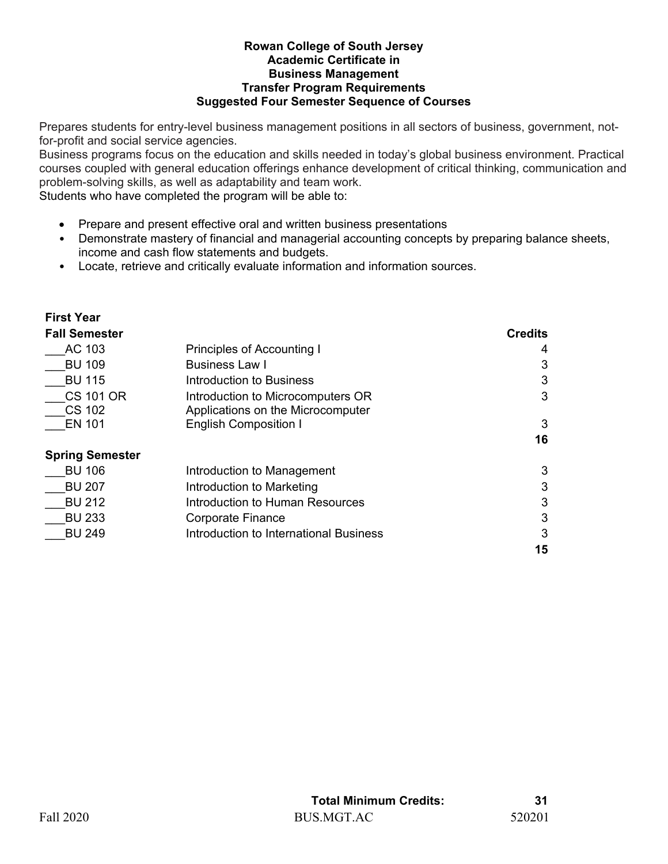## **Rowan College of South Jersey Academic Certificate in** **Business Management Transfer Program Requirements Suggested Four Semester Sequence of Courses**

Prepares students for entry-level business management positions in all sectors of business, government, notfor-profit and social service agencies.

Business programs focus on the education and skills needed in today's global business environment. Practical courses coupled with general education offerings enhance development of critical thinking, communication and problem-solving skills, as well as adaptability and team work.

Students who have completed the program will be able to:

- Prepare and present effective oral and written business presentations
- Demonstrate mastery of financial and managerial accounting concepts by preparing balance sheets, income and cash flow statements and budgets.
- Locate, retrieve and critically evaluate information and information sources.

| <b>First Year</b>      |                                        |                |
|------------------------|----------------------------------------|----------------|
| <b>Fall Semester</b>   |                                        | <b>Credits</b> |
| AC 103                 | Principles of Accounting I             | 4              |
| <b>BU 109</b>          | <b>Business Law I</b>                  | 3              |
| <b>BU 115</b>          | Introduction to Business               | 3              |
| <b>CS 101 OR</b>       | Introduction to Microcomputers OR      | 3              |
| <b>CS 102</b>          | Applications on the Microcomputer      |                |
| <b>EN 101</b>          | <b>English Composition I</b>           | 3              |
|                        |                                        | 16             |
| <b>Spring Semester</b> |                                        |                |
| <b>BU 106</b>          | Introduction to Management             | 3              |
| <b>BU 207</b>          | Introduction to Marketing              | 3              |
| <b>BU 212</b>          | Introduction to Human Resources        | 3              |
| <b>BU 233</b>          | Corporate Finance                      | 3              |
| <b>BU 249</b>          | Introduction to International Business | 3              |
|                        |                                        | 15             |